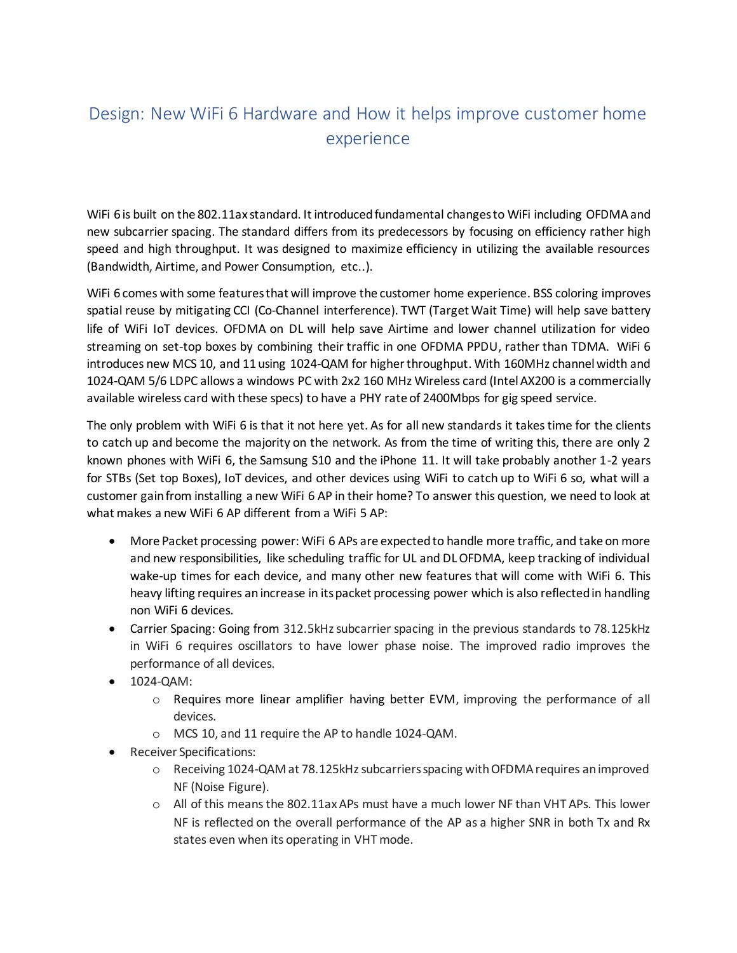## Design: New WiFi 6 Hardware and How it helps improve customer home experience

WiFi 6 is built on the 802.11ax standard. It introduced fundamental changes to WiFi including OFDMA and new subcarrier spacing. The standard differs from its predecessors by focusing on efficiency rather high speed and high throughput. It was designed to maximize efficiency in utilizing the available resources (Bandwidth, Airtime, and Power Consumption, etc..).

WiFi 6 comes with some features that will improve the customer home experience. BSS coloring improves spatial reuse by mitigating CCI (Co-Channel interference). TWT (Target Wait Time) will help save battery life of WiFi IoT devices. OFDMA on DL will help save Airtime and lower channel utilization for video streaming on set-top boxes by combining their traffic in one OFDMA PPDU, rather than TDMA. WiFi 6 introduces new MCS 10, and 11 using 1024-QAM for higher throughput. With 160MHz channel width and 1024-QAM 5/6 LDPC allows a windows PC with 2x2 160 MHz Wireless card (Intel AX200 is a commercially available wireless card with these specs) to have a PHY rate of 2400Mbps for gig speed service.

The only problem with WiFi 6 is that it not here yet. As for all new standards it takes time for the clients to catch up and become the majority on the network. As from the time of writing this, there are only 2 known phones with WiFi 6, the Samsung S10 and the iPhone 11. It will take probably another 1-2 years for STBs (Set top Boxes), IoT devices, and other devices using WiFi to catch up to WiFi 6 so, what will a customer gain from installing a new WiFi 6 AP in their home? To answer this question, we need to look at what makes a new WiFi 6 AP different from a WiFi 5 AP:

- More Packet processing power: WiFi 6 APs are expected to handle more traffic, and take on more and new responsibilities, like scheduling traffic for UL and DL OFDMA, keep tracking of individual wake-up times for each device, and many other new features that will come with WiFi 6. This heavy lifting requires an increase in its packet processing power which is also reflected in handling non WiFi 6 devices.
- Carrier Spacing: Going from 312.5kHz subcarrier spacing in the previous standards to 78.125kHz in WiFi 6 requires oscillators to have lower phase noise. The improved radio improves the performance of all devices.
- 1024-QAM:
	- $\circ$  Requires more linear amplifier having better EVM, improving the performance of all devices.
	- o MCS 10, and 11 require the AP to handle 1024-QAM.
- Receiver Specifications:
	- o Receiving 1024-QAM at 78.125kHz subcarriers spacing with OFDMA requires an improved NF (Noise Figure).
	- o All of this means the 802.11ax APs must have a much lower NF than VHT APs. This lower NF is reflected on the overall performance of the AP as a higher SNR in both Tx and Rx states even when its operating in VHT mode.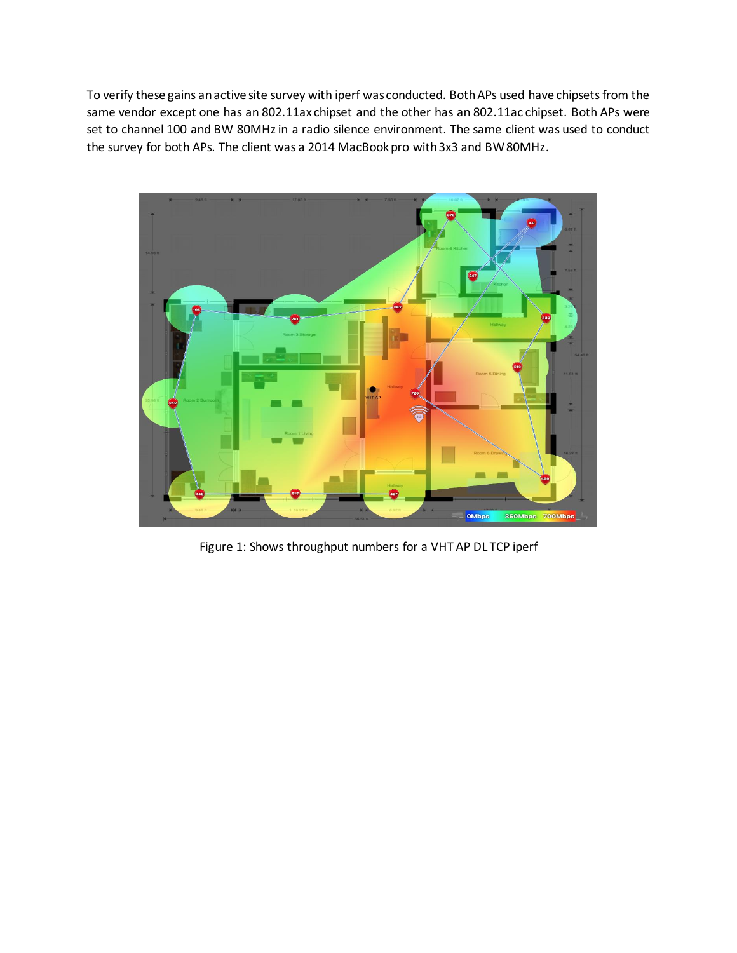To verify these gains an active site survey with iperf was conducted. Both APs used have chipsets from the same vendor except one has an 802.11ax chipset and the other has an 802.11ac chipset. Both APs were set to channel 100 and BW 80MHz in a radio silence environment. The same client was used to conduct the survey for both APs. The client was a 2014 MacBook pro with 3x3 and BW 80MHz.



Figure 1: Shows throughput numbers for a VHT AP DL TCP iperf